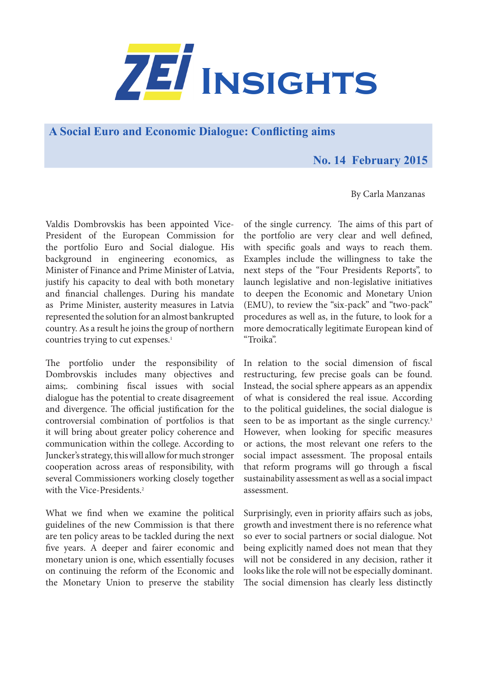

**A Social Euro and Economic Dialogue: Conflicting aims** 

## **No. 14 February 2015**

By Carla Manzanas

Valdis Dombrovskis has been appointed Vice-President of the European Commission for the portfolio Euro and Social dialogue. His background in engineering economics, as Minister of Finance and Prime Minister of Latvia, justify his capacity to deal with both monetary and financial challenges. During his mandate as Prime Minister, austerity measures in Latvia represented the solution for an almost bankrupted country. As a result he joins the group of northern countries trying to cut expenses.<sup>1</sup>

The portfolio under the responsibility of Dombrovskis includes many objectives and aims;. combining fiscal issues with social dialogue has the potential to create disagreement and divergence. The official justification for the controversial combination of portfolios is that it will bring about greater policy coherence and communication within the college. According to Juncker's strategy, this will allow for much stronger cooperation across areas of responsibility, with several Commissioners working closely together with the Vice-Presidents.<sup>2</sup>

What we find when we examine the political guidelines of the new Commission is that there are ten policy areas to be tackled during the next five years. A deeper and fairer economic and monetary union is one, which essentially focuses on continuing the reform of the Economic and the Monetary Union to preserve the stability of the single currency. The aims of this part of the portfolio are very clear and well defined, with specific goals and ways to reach them. Examples include the willingness to take the next steps of the "Four Presidents Reports", to launch legislative and non-legislative initiatives to deepen the Economic and Monetary Union (EMU), to review the "six-pack" and "two-pack" procedures as well as, in the future, to look for a more democratically legitimate European kind of "Troika".

In relation to the social dimension of fiscal restructuring, few precise goals can be found. Instead, the social sphere appears as an appendix of what is considered the real issue. According to the political guidelines, the social dialogue is seen to be as important as the single currency.<sup>3</sup> However, when looking for specific measures or actions, the most relevant one refers to the social impact assessment. The proposal entails that reform programs will go through a fiscal sustainability assessment as well as a social impact assessment.

Surprisingly, even in priority affairs such as jobs, growth and investment there is no reference what so ever to social partners or social dialogue. Not being explicitly named does not mean that they will not be considered in any decision, rather it looks like the role will not be especially dominant. The social dimension has clearly less distinctly